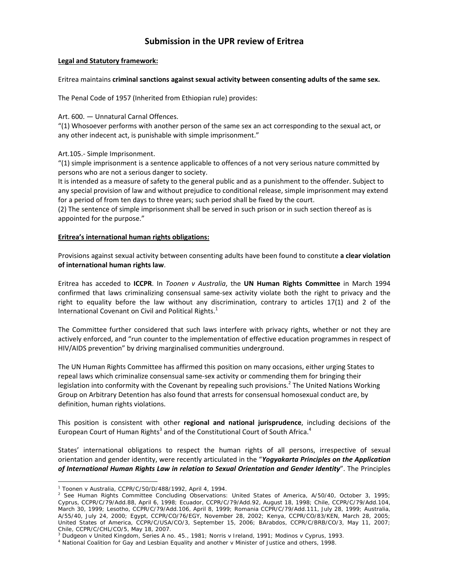# **Submission in the UPR review of Eritrea**

## **Legal and Statutory framework:**

## Eritrea maintains **criminal sanctions against sexual activity between consenting adults of the same sex.**

The Penal Code of 1957 (Inherited from Ethiopian rule) provides:

Art. 600. — Unnatural Carnal Offences.

"(1) Whosoever performs with another person of the same sex an act corresponding to the sexual act, or any other indecent act, is punishable with simple imprisonment."

Art.105.‐ Simple Imprisonment.

"(1) simple imprisonment is a sentence applicable to offences of a not very serious nature committed by persons who are not a serious danger to society.

It is intended as a measure of safety to the general public and as a punishment to the offender. Subject to any special provision of law and without prejudice to conditional release, simple imprisonment may extend for a period of from ten days to three years; such period shall be fixed by the court.

(2) The sentence of simple imprisonment shall be served in such prison or in such section thereof as is appointed for the purpose."

## **Eritrea's international human rights obligations:**

Provisions against sexual activity between consenting adults have been found to constitute **a clear violation of international human rights law**.

Eritrea has acceded to **ICCPR**. In *Toonen v Australia*, the **UN Human Rights Committee** in March 1994 confirmed that laws criminalizing consensual same‐sex activity violate both the right to privacy and the right to equality before the law without any discrimination, contrary to articles 17(1) and 2 of the International Covenant on Civil and Political Rights. $<sup>1</sup>$ </sup>

The Committee further considered that such laws interfere with privacy rights, whether or not they are actively enforced, and "run counter to the implementation of effective education programmes in respect of HIV/AIDS prevention" by driving marginalised communities underground.

The UN Human Rights Committee has affirmed this position on many occasions, either urging States to repeal laws which criminalize consensual same‐sex activity or commending them for bringing their legislation into conformity with the Covenant by repealing such provisions.<sup>2</sup> The United Nations Working Group on Arbitrary Detention has also found that arrests for consensual homosexual conduct are, by definition, human rights violations.

This position is consistent with other **regional and national jurisprudence**, including decisions of the European Court of Human Rights<sup>3</sup> and of the Constitutional Court of South Africa.<sup>4</sup>

States' international obligations to respect the human rights of all persons, irrespective of sexual orientation and gender identity, were recently articulated in the "*Yogyakarta Principles on the Application of International Human Rights Law in relation to Sexual Orientation and Gender Identity*". The Principles

 $\overline{a}$ 

<sup>&</sup>lt;sup>1</sup> *Toonen* v *Australia*, CCPR/C/50/D/488/1992, April 4, 1994.

 $^2$  See Human Rights Committee Concluding Observations: United States of America, A/50/40, October 3, 1995; Cyprus, CCPR/C/79/Add.88, April 6, 1998; Ecuador, CCPR/C/79/Add.92, August 18, 1998; Chile, CCPR/C/79/Add.104, March 30, 1999; Lesotho, CCPR/C/79/Add.106, April 8, 1999; Romania CCPR/C/79/Add.111, July 28, 1999; Australia, A/55/40, July 24, 2000; Egypt, CCPR/CO/76/EGY, November 28, 2002; Kenya, CCPR/CO/83/KEN, March 28, 2005; United States of America, CCPR/C/USA/CO/3, September 15, 2006; BArabdos, CCPR/C/BRB/CO/3, May 11, 2007; Chile, CCPR/C/CHL/CO/5, May 18, 2007.

<sup>&</sup>lt;sup>3</sup> Dudgeon v United Kingdom, Series A no. 45., 1981; Norris v Ireland, 1991; Modinos v Cyprus, 1993.<br><sup>4</sup> National Coalition for Gay and Lesbian Equality and another v Minister of Justice and others, 1998.